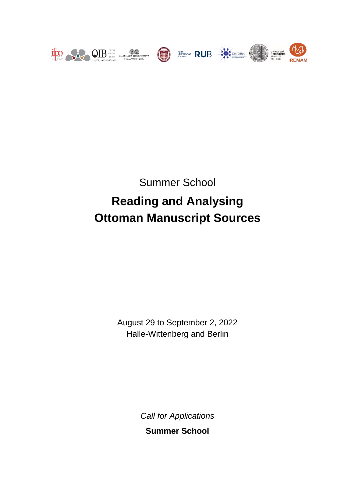

Summer School

# **Reading and Analysing Ottoman Manuscript Sources**

August 29 to September 2, 2022 Halle-Wittenberg and Berlin

> *Call for Applications* **Summer School**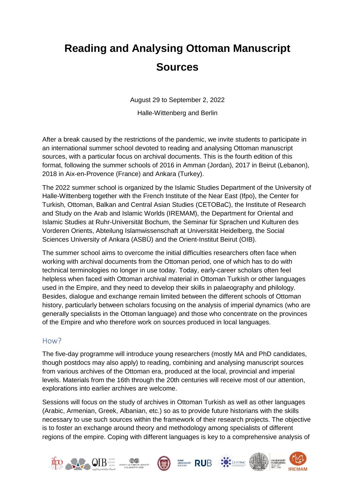## **Reading and Analysing Ottoman Manuscript Sources**

August 29 to September 2, 2022

Halle-Wittenberg and Berlin

After a break caused by the restrictions of the pandemic, we invite students to participate in an international summer school devoted to reading and analysing Ottoman manuscript sources, with a particular focus on archival documents. This is the fourth edition of this format, following the summer schools of 2016 in Amman (Jordan), 2017 in Beirut (Lebanon), 2018 in Aix-en-Provence (France) and Ankara (Turkey).

The 2022 summer school is organized by the Islamic Studies Department of the University of Halle-Wittenberg together with the French Institute of the Near East (Ifpo), the Center for Turkish, Ottoman, Balkan and Central Asian Studies (CETOBaC), the Institute of Research and Study on the Arab and Islamic Worlds (IREMAM), the Department for Oriental and Islamic Studies at Ruhr-Universität Bochum, the Seminar für Sprachen und Kulturen des Vorderen Orients, Abteilung Islamwissenschaft at Universität Heidelberg, the Social Sciences University of Ankara (ASBÜ) and the Orient-Institut Beirut (OIB).

The summer school aims to overcome the initial difficulties researchers often face when working with archival documents from the Ottoman period, one of which has to do with technical terminologies no longer in use today. Today, early-career scholars often feel helpless when faced with Ottoman archival material in Ottoman Turkish or other languages used in the Empire, and they need to develop their skills in palaeography and philology. Besides, dialogue and exchange remain limited between the different schools of Ottoman history, particularly between scholars focusing on the analysis of imperial dynamics (who are generally specialists in the Ottoman language) and those who concentrate on the provinces of the Empire and who therefore work on sources produced in local languages.

#### How?

The five-day programme will introduce young researchers (mostly MA and PhD candidates, though postdocs may also apply) to reading, combining and analysing manuscript sources from various archives of the Ottoman era, produced at the local, provincial and imperial levels. Materials from the 16th through the 20th centuries will receive most of our attention, explorations into earlier archives are welcome.

Sessions will focus on the study of archives in Ottoman Turkish as well as other languages (Arabic, Armenian, Greek, Albanian, etc.) so as to provide future historians with the skills necessary to use such sources within the framework of their research projects. The objective is to foster an exchange around theory and methodology among specialists of different regions of the empire. Coping with different languages is key to a comprehensive analysis of

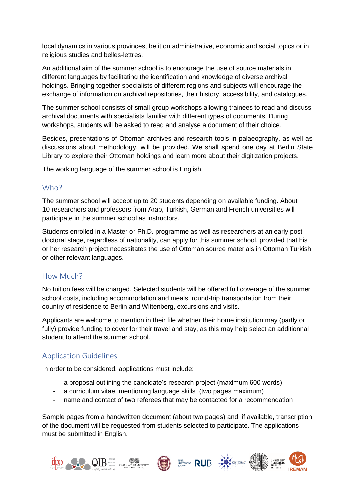local dynamics in various provinces, be it on administrative, economic and social topics or in religious studies and belles-lettres.

An additional aim of the summer school is to encourage the use of source materials in different languages by facilitating the identification and knowledge of diverse archival holdings. Bringing together specialists of different regions and subjects will encourage the exchange of information on archival repositories, their history, accessibility, and catalogues.

The summer school consists of small-group workshops allowing trainees to read and discuss archival documents with specialists familiar with different types of documents. During workshops, students will be asked to read and analyse a document of their choice.

Besides, presentations of Ottoman archives and research tools in palaeography, as well as discussions about methodology, will be provided. We shall spend one day at Berlin State Library to explore their Ottoman holdings and learn more about their digitization projects.

The working language of the summer school is English.

## Who?

The summer school will accept up to 20 students depending on available funding. About 10 researchers and professors from Arab, Turkish, German and French universities will participate in the summer school as instructors.

Students enrolled in a Master or Ph.D. programme as well as researchers at an early postdoctoral stage, regardless of nationality, can apply for this summer school, provided that his or her research project necessitates the use of Ottoman source materials in Ottoman Turkish or other relevant languages.

## How Much?

No tuition fees will be charged. Selected students will be offered full coverage of the summer school costs, including accommodation and meals, round-trip transportation from their country of residence to Berlin and Wittenberg, excursions and visits.

Applicants are welcome to mention in their file whether their home institution may (partly or fully) provide funding to cover for their travel and stay, as this may help select an additionnal student to attend the summer school.

## Application Guidelines

In order to be considered, applications must include:

- a proposal outlining the candidate's research project (maximum 600 words)
- a curriculum vitae, mentioning language skills (two pages maximum)
- name and contact of two referees that may be contacted for a recommendation

Sample pages from a handwritten document (about two pages) and, if available, transcription of the document will be requested from students selected to participate. The applications must be submitted in English.